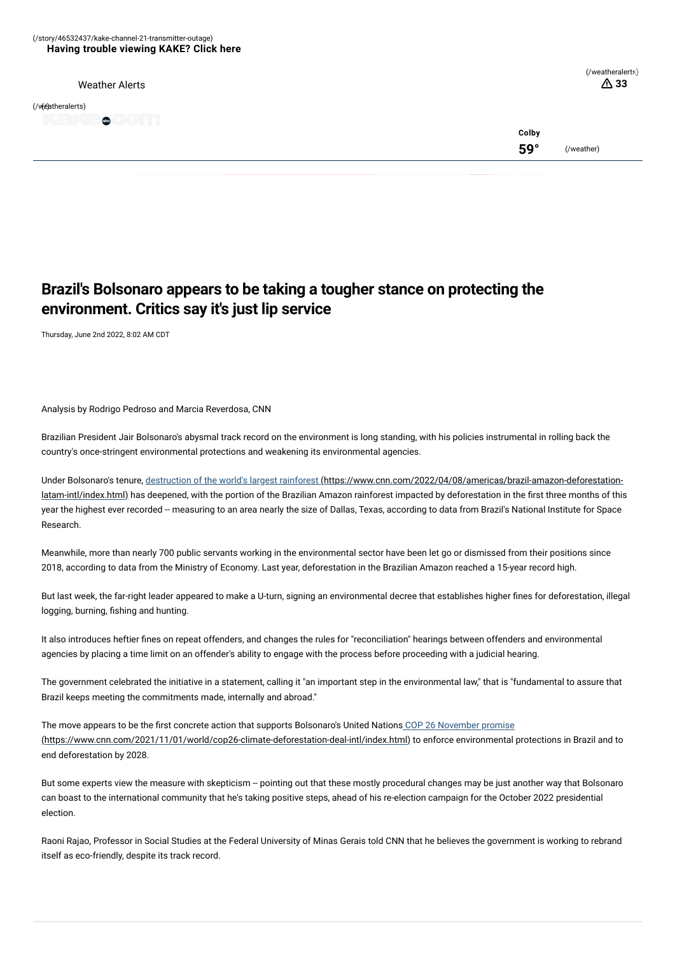## **Having trouble viewing KAKE? Click here** [\(/story/46532437/kake-channel-21-transmitter-outage\)](https://www.kake.com/story/46532437/kake-channel-21-transmitter-outage)

[Weather Alerts](https://www.kake.com/weatheralerts)



**Colby [59°](https://www.kake.com/weather)** (/weather)

## **Brazil's Bolsonaro appears to be taking a tougher stance on protecting the environment. Critics say it's just lip service**

Thursday, June 2nd 2022, 8:02 AM CDT

Analysis by Rodrigo Pedroso and Marcia Reverdosa, CNN

Brazilian President Jair Bolsonaro's abysmal track record on the environment is long standing, with his policies instrumental in rolling back the country's once-stringent environmental protections and weakening its environmental agencies.

Under Bolsonaro's tenure, destruction of the world's largest rainforest (https://www.cnn.com/2022/04/08/americas/brazil-amazon-deforestation[latam-intl/index.html\) has deepened, with the portion of the Brazilian Amazon rainforest impacted by deforestation in the first three months of this](https://www.cnn.com/2022/04/08/americas/brazil-amazon-deforestation-latam-intl/index.html) year the highest ever recorded -- measuring to an area nearly the size of Dallas, Texas, according to data from Brazil's National Institute for Space Research.

Meanwhile, more than nearly 700 public servants working in the environmental sector have been let go or dismissed from their positions since 2018, according to data from the Ministry of Economy. Last year, deforestation in the Brazilian Amazon reached a 15-year record high.

But last week, the far-right leader appeared to make a U-turn, signing an environmental decree that establishes higher fines for deforestation, illegal logging, burning, fishing and hunting.

It also introduces heftier fines on repeat offenders, and changes the rules for "reconciliation" hearings between offenders and environmental agencies by placing a time limit on an offender's ability to engage with the process before proceeding with a judicial hearing.

The government celebrated the initiative in a statement, calling it "an important step in the environmental law," that is "fundamental to assure that Brazil keeps meeting the commitments made, internally and abroad."

The move appears to be the first concrete action that supports Bolsonaro's United Nations COP 26 November promise [\(https://www.cnn.com/2021/11/01/world/cop26-climate-deforestation-deal-intl/index.html\) to enforce environmental](https://www.cnn.com/2021/11/01/world/cop26-climate-deforestation-deal-intl/index.html) protections in Brazil and to end deforestation by 2028.

But some experts view the measure with skepticism -- pointing out that these mostly procedural changes may be just another way that Bolsonaro can boast to the international community that he's taking positive steps, ahead of his re-election campaign for the October 2022 presidential election.

Raoni Rajao, Professor in Social Studies at the Federal University of Minas Gerais told CNN that he believes the government is working to rebrand itself as eco-friendly, despite its track record.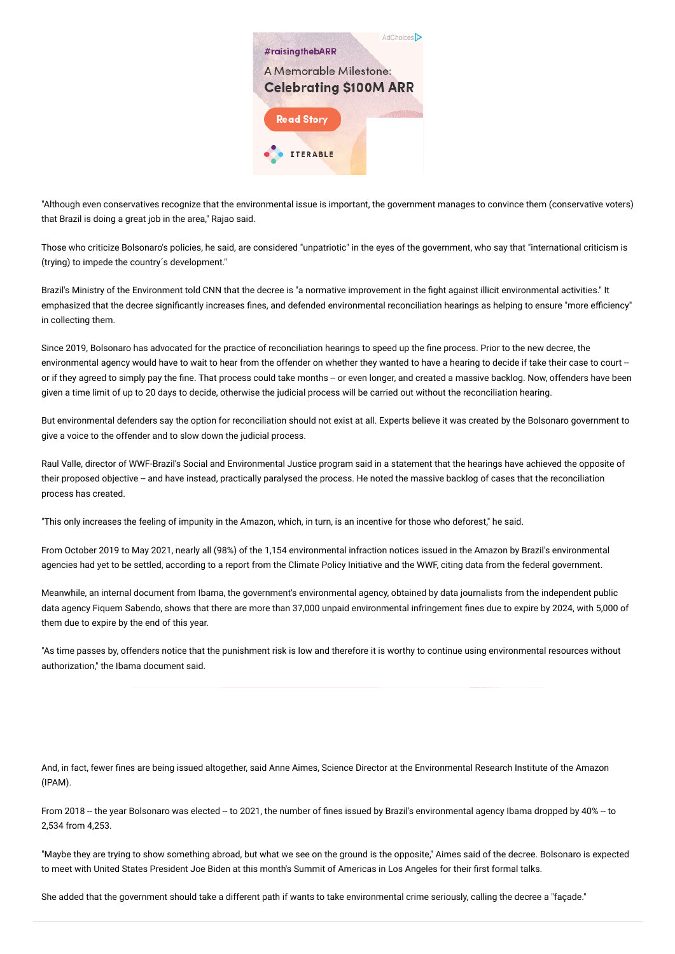

"Although even conservatives recognize that the environmental issue is important, the government manages to convince them (conservative voters) that Brazil is doing a great job in the area," Rajao said.

Those who criticize Bolsonaro's policies, he said, are considered "unpatriotic" in the eyes of the government, who say that "international criticism is (trying) to impede the country´s development."

Brazil's Ministry of the Environment told CNN that the decree is "a normative improvement in the fight against illicit environmental activities." It emphasized that the decree significantly increases fines, and defended environmental reconciliation hearings as helping to ensure "more efficiency" in collecting them.

Since 2019, Bolsonaro has advocated for the practice of reconciliation hearings to speed up the fine process. Prior to the new decree, the environmental agency would have to wait to hear from the offender on whether they wanted to have a hearing to decide if take their case to court -or if they agreed to simply pay the fine. That process could take months -- or even longer, and created a massive backlog. Now, offenders have been given a time limit of up to 20 days to decide, otherwise the judicial process will be carried out without the reconciliation hearing.

But environmental defenders say the option for reconciliation should not exist at all. Experts believe it was created by the Bolsonaro government to give a voice to the offender and to slow down the judicial process.

Raul Valle, director of WWF-Brazil's Social and Environmental Justice program said in a statement that the hearings have achieved the opposite of their proposed objective -- and have instead, practically paralysed the process. He noted the massive backlog of cases that the reconciliation process has created.

"This only increases the feeling of impunity in the Amazon, which, in turn, is an incentive for those who deforest," he said.

From October 2019 to May 2021, nearly all (98%) of the 1,154 environmental infraction notices issued in the Amazon by Brazil's environmental agencies had yet to be settled, according to a report from the Climate Policy Initiative and the WWF, citing data from the federal government.

Meanwhile, an internal document from Ibama, the government's environmental agency, obtained by data journalists from the independent public data agency Fiquem Sabendo, shows that there are more than 37,000 unpaid environmental infringement fines due to expire by 2024, with 5,000 of them due to expire by the end of this year.

"As time passes by, offenders notice that the punishment risk is low and therefore it is worthy to continue using environmental resources without authorization," the Ibama document said.

And, in fact, fewer fines are being issued altogether, said Anne Aimes, Science Director at the Environmental Research Institute of the Amazon (IPAM).

From 2018 -- the year Bolsonaro was elected -- to 2021, the number of fines issued by Brazil's environmental agency Ibama dropped by 40% -- to 2,534 from 4,253.

"Maybe they are trying to show something abroad, but what we see on the ground is the opposite," Aimes said of the decree. Bolsonaro is expected to meet with United States President Joe Biden at this month's Summit of Americas in Los Angeles for their first formal talks.

She added that the government should take a different path if wants to take environmental crime seriously, calling the decree a "façade."